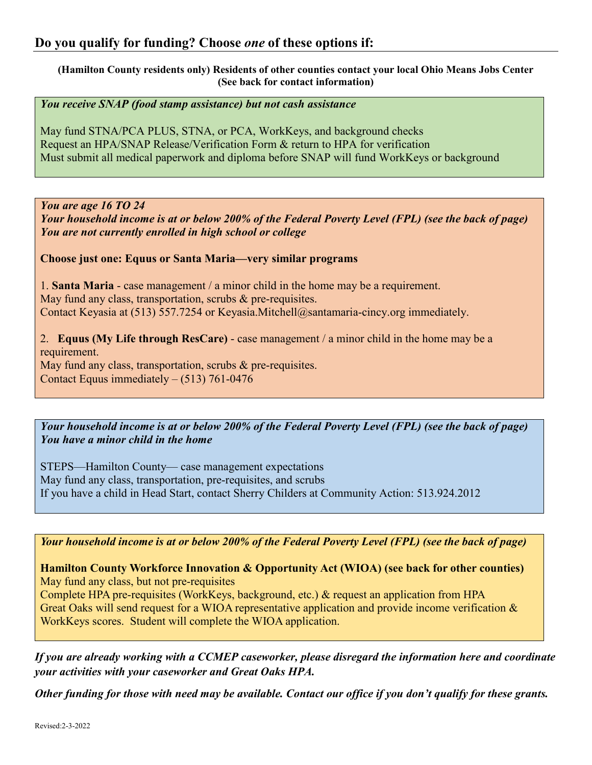**(Hamilton County residents only) Residents of other counties contact your local Ohio Means Jobs Center (See back for contact information)**

*You receive SNAP (food stamp assistance) but not cash assistance*

May fund STNA/PCA PLUS, STNA, or PCA, WorkKeys, and background checks Request an HPA/SNAP Release/Verification Form & return to HPA for verification Must submit all medical paperwork and diploma before SNAP will fund WorkKeys or background

*You are age 16 TO 24*

*Your household income is at or below 200% of the Federal Poverty Level (FPL) (see the back of page) You are not currently enrolled in high school or college*

**Choose just one: Equus or Santa Maria—very similar programs**

1. **Santa Maria** - case management / a minor child in the home may be a requirement. May fund any class, transportation, scrubs & pre-requisites. Contact Keyasia at (513) 557.7254 or Keyasia.Mitchell@santamaria-cincy.org immediately.

2. **Equus (My Life through ResCare)** - case management / a minor child in the home may be a requirement. May fund any class, transportation, scrubs & pre-requisites. Contact Equus immediately – (513) 761-0476

*Your household income is at or below 200% of the Federal Poverty Level (FPL) (see the back of page) You have a minor child in the home*

STEPS—Hamilton County— case management expectations May fund any class, transportation, pre-requisites, and scrubs If you have a child in Head Start, contact Sherry Childers at Community Action: 513.924.2012

*Your household income is at or below 200% of the Federal Poverty Level (FPL) (see the back of page)*

**Hamilton County Workforce Innovation & Opportunity Act (WIOA) (see back for other counties)** May fund any class, but not pre-requisites Complete HPA pre-requisites (WorkKeys, background, etc.) & request an application from HPA Great Oaks will send request for a WIOA representative application and provide income verification &

WorkKeys scores. Student will complete the WIOA application.

*If you are already working with a CCMEP caseworker, please disregard the information here and coordinate your activities with your caseworker and Great Oaks HPA.*

*Other funding for those with need may be available. Contact our office if you don't qualify for these grants.*